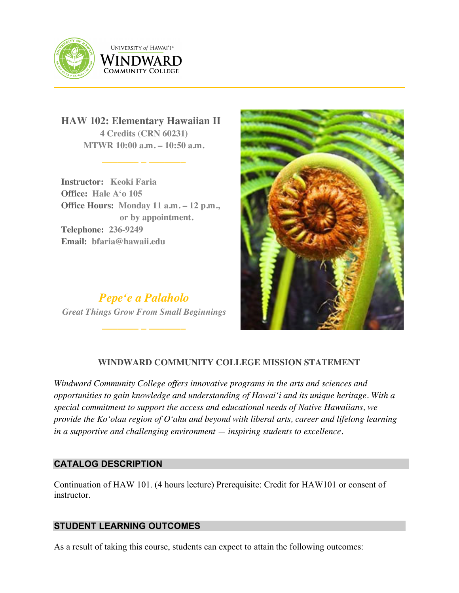

**UNIVERSITY of HAWAI'I**® WINDWARD COMMUNITY COLLEGE

**HAW 102: Elementary Hawaiian II 4 Credits (CRN 60231) MTWR 10:00 a.m. – 10:50 a.m.**

**\_\_\_\_\_\_\_ \_ \_\_\_\_\_\_\_**

**Instructor: Keoki Faria Office: Hale Aʻo 105 Office Hours: Monday 11 a.m. – 12 p.m., or by appointment. Telephone: 236-9249 Email: bfaria@hawaii.edu**

*Pepeʻe a Palaholo Great Things Grow From Small Beginnings*

**\_\_\_\_\_\_\_ \_ \_\_\_\_\_\_\_**

102 ELEMENTARY HAWAIIAN III ANG KABUPATÈN SA PANG-ALEM



# **WINDWARD COMMUNITY COLLEGE MISSION STATEMENT**

*Windward Community College offers innovative programs in the arts and sciences and opportunities to gain knowledge and understanding of Hawai'i and its unique heritage. With a special commitment to support the access and educational needs of Native Hawaiians, we provide the Ko'olau region of Oʻahu and beyond with liberal arts, career and lifelong learning in a supportive and challenging environment — inspiring students to excellence.*

## **CATALOG DESCRIPTION**

Continuation of HAW 101. (4 hours lecture) Prerequisite: Credit for HAW101 or consent of instructor.

## **STUDENT LEARNING OUTCOMES**

As a result of taking this course, students can expect to attain the following outcomes: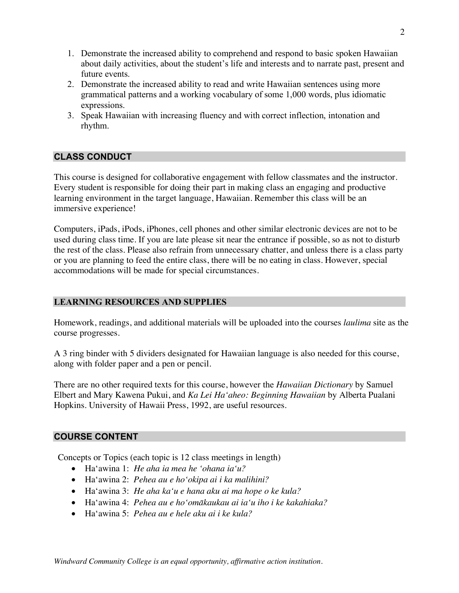- 1. Demonstrate the increased ability to comprehend and respond to basic spoken Hawaiian about daily activities, about the student's life and interests and to narrate past, present and future events.
- 2. Demonstrate the increased ability to read and write Hawaiian sentences using more grammatical patterns and a working vocabulary of some 1,000 words, plus idiomatic expressions.
- 3. Speak Hawaiian with increasing fluency and with correct inflection, intonation and rhythm.

# **CLASS CONDUCT**

This course is designed for collaborative engagement with fellow classmates and the instructor. Every student is responsible for doing their part in making class an engaging and productive learning environment in the target language, Hawaiian. Remember this class will be an immersive experience!

Computers, iPads, iPods, iPhones, cell phones and other similar electronic devices are not to be used during class time. If you are late please sit near the entrance if possible, so as not to disturb the rest of the class. Please also refrain from unnecessary chatter, and unless there is a class party or you are planning to feed the entire class, there will be no eating in class. However, special accommodations will be made for special circumstances.

## **LEARNING RESOURCES AND SUPPLIES**

Homework, readings, and additional materials will be uploaded into the courses *laulima* site as the course progresses.

A 3 ring binder with 5 dividers designated for Hawaiian language is also needed for this course, along with folder paper and a pen or pencil.

There are no other required texts for this course, however the *Hawaiian Dictionary* by Samuel Elbert and Mary Kawena Pukui, and *Ka Lei Haʻaheo: Beginning Hawaiian* by Alberta Pualani Hopkins. University of Hawaii Press, 1992, are useful resources.

## **COURSE CONTENT**

Concepts or Topics (each topic is 12 class meetings in length)

- Haʻawina 1: *He aha ia mea he ʻohana iaʻu?*
- Haʻawina 2: *Pehea au e hoʻokipa ai i ka malihini?*
- Haʻawina 3: *He aha kaʻu e hana aku ai ma hope o ke kula?*
- Haʻawina 4: *Pehea au e hoʻomākaukau ai iaʻu iho i ke kakahiaka?*
- Haʻawina 5: *Pehea au e hele aku ai i ke kula?*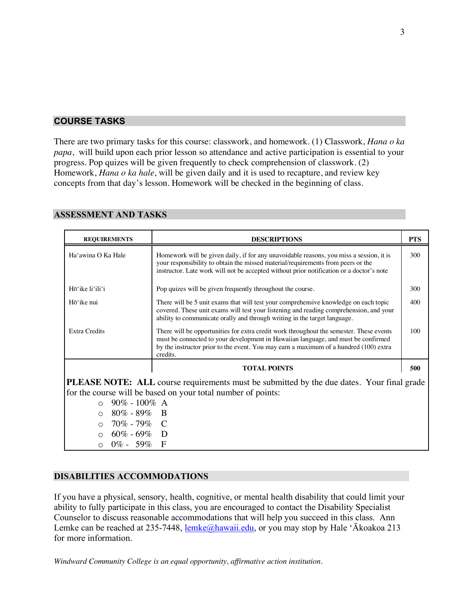# **COURSE TASKS**

There are two primary tasks for this course: classwork, and homework. (1) Classwork, *Hana o ka papa*, will build upon each prior lesson so attendance and active participation is essential to your progress. Pop quizes will be given frequently to check comprehension of classwork. (2) Homework, *Hana o ka hale*, will be given daily and it is used to recapture, and review key concepts from that day's lesson. Homework will be checked in the beginning of class.

| <b>REQUIREMENTS</b>                                                                                                                                                                                                                                                                                                | <b>DESCRIPTIONS</b>                                                                                                                                                                                                                                                               | <b>PTS</b> |
|--------------------------------------------------------------------------------------------------------------------------------------------------------------------------------------------------------------------------------------------------------------------------------------------------------------------|-----------------------------------------------------------------------------------------------------------------------------------------------------------------------------------------------------------------------------------------------------------------------------------|------------|
| Ha'awina O Ka Hale                                                                                                                                                                                                                                                                                                 | Homework will be given daily, if for any unavoidable reasons, you miss a session, it is<br>your responsibility to obtain the missed material/requirements from peers or the<br>instructor. Late work will not be accepted without prior notification or a doctor's note           | 300        |
| Hō'ike li'ili'i                                                                                                                                                                                                                                                                                                    | Pop quizes will be given frequently throughout the course.                                                                                                                                                                                                                        | 300        |
| Hō'ike nui                                                                                                                                                                                                                                                                                                         | There will be 5 unit exams that will test your comprehensive knowledge on each topic<br>covered. These unit exams will test your listening and reading comprehension, and your<br>ability to communicate orally and through writing in the target language.                       | 400        |
| <b>Extra Credits</b>                                                                                                                                                                                                                                                                                               | There will be opportunities for extra credit work throughout the semester. These events<br>must be connected to your development in Hawaiian language, and must be confirmed<br>by the instructor prior to the event. You may earn a maximum of a hundred (100) extra<br>credits. | 100        |
|                                                                                                                                                                                                                                                                                                                    | <b>TOTAL POINTS</b>                                                                                                                                                                                                                                                               | 500        |
| <b>PLEASE NOTE:</b> ALL course requirements must be submitted by the due dates. Your final grade<br>for the course will be based on your total number of points:<br>$90\% - 100\%$ A<br>$\cap$<br>$80\% - 89\%$ B<br>$\bigcap$<br>70% - 79% C<br>$\Omega$<br>$0.60\% - 69\%$ D<br>$\circ$ 0% - 59%<br>$\mathbf{F}$ |                                                                                                                                                                                                                                                                                   |            |

#### **ASSESSMENT AND TASKS**

## **DISABILITIES ACCOMMODATIONS**

If you have a physical, sensory, health, cognitive, or mental health disability that could limit your ability to fully participate in this class, you are encouraged to contact the Disability Specialist Counselor to discuss reasonable accommodations that will help you succeed in this class. Ann Lemke can be reached at 235-7448, lemke@hawaii.edu, or you may stop by Hale 'Ākoakoa 213 for more information.

*Windward Community College is an equal opportunity, affirmative action institution.*